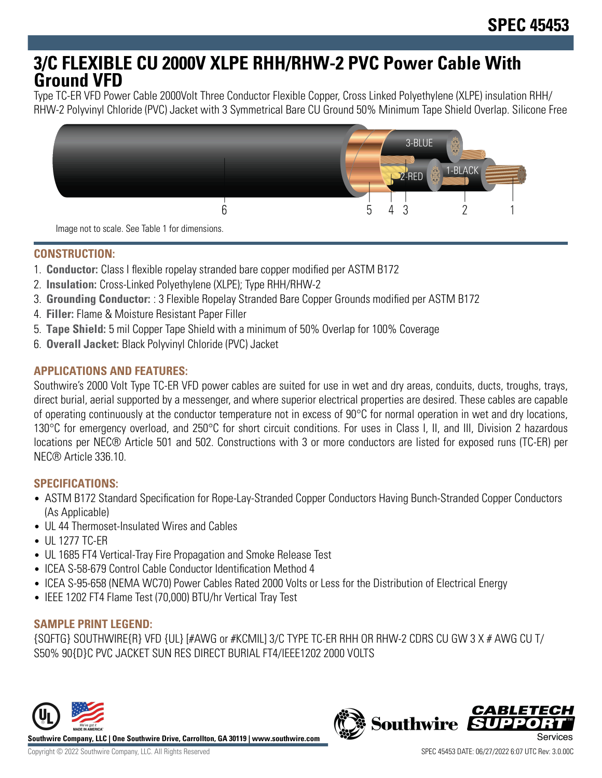# **3/C FLEXIBLE CU 2000V XLPE RHH/RHW-2 PVC Power Cable With Ground VFD**

Type TC-ER VFD Power Cable 2000Volt Three Conductor Flexible Copper, Cross Linked Polyethylene (XLPE) insulation RHH/ RHW-2 Polyvinyl Chloride (PVC) Jacket with 3 Symmetrical Bare CU Ground 50% Minimum Tape Shield Overlap. Silicone Free



Image not to scale. See Table 1 for dimensions.

### **CONSTRUCTION:**

- 1. **Conductor:** Class I flexible ropelay stranded bare copper modified per ASTM B172
- 2. **Insulation:** Cross-Linked Polyethylene (XLPE); Type RHH/RHW-2
- 3. **Grounding Conductor:** : 3 Flexible Ropelay Stranded Bare Copper Grounds modified per ASTM B172
- 4. **Filler:** Flame & Moisture Resistant Paper Filler
- 5. **Tape Shield:** 5 mil Copper Tape Shield with a minimum of 50% Overlap for 100% Coverage
- 6. **Overall Jacket:** Black Polyvinyl Chloride (PVC) Jacket

# **APPLICATIONS AND FEATURES:**

Southwire's 2000 Volt Type TC-ER VFD power cables are suited for use in wet and dry areas, conduits, ducts, troughs, trays, direct burial, aerial supported by a messenger, and where superior electrical properties are desired. These cables are capable of operating continuously at the conductor temperature not in excess of 90°C for normal operation in wet and dry locations, 130°C for emergency overload, and 250°C for short circuit conditions. For uses in Class I, II, and III, Division 2 hazardous locations per NEC® Article 501 and 502. Constructions with 3 or more conductors are listed for exposed runs (TC-ER) per NEC® Article 336.10.

# **SPECIFICATIONS:**

- ASTM B172 Standard Specification for Rope-Lay-Stranded Copper Conductors Having Bunch-Stranded Copper Conductors (As Applicable)
- UL 44 Thermoset-Insulated Wires and Cables
- UL 1277 TC-ER
- UL 1685 FT4 Vertical-Tray Fire Propagation and Smoke Release Test
- ICEA S-58-679 Control Cable Conductor Identification Method 4
- ICEA S-95-658 (NEMA WC70) Power Cables Rated 2000 Volts or Less for the Distribution of Electrical Energy
- IEEE 1202 FT4 Flame Test (70,000) BTU/hr Vertical Tray Test

#### **SAMPLE PRINT LEGEND:**

{SQFTG} SOUTHWIRE{R} VFD {UL} [#AWG or #KCMIL] 3/C TYPE TC-ER RHH OR RHW-2 CDRS CU GW 3 X # AWG CU T/ S50% 90{D}C PVC JACKET SUN RES DIRECT BURIAL FT4/IEEE1202 2000 VOLTS



**Southwire Company, LLC | One Southwire Drive, Carrollton, GA 30119 | www.southwire.com**